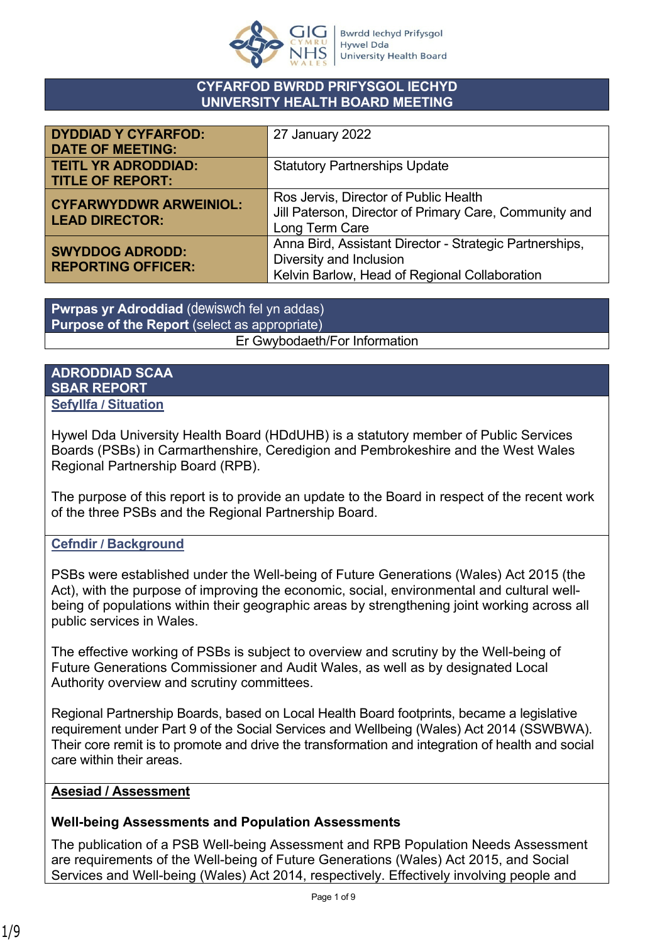

#### **CYFARFOD BWRDD PRIFYSGOL IECHYD UNIVERSITY HEALTH BOARD MEETING**

| <b>DYDDIAD Y CYFARFOD:</b><br><b>DATE OF MEETING:</b>  | 27 January 2022                                                                                                                     |
|--------------------------------------------------------|-------------------------------------------------------------------------------------------------------------------------------------|
| <b>TEITL YR ADRODDIAD:</b><br><b>TITLE OF REPORT:</b>  | <b>Statutory Partnerships Update</b>                                                                                                |
| <b>CYFARWYDDWR ARWEINIOL:</b><br><b>LEAD DIRECTOR:</b> | Ros Jervis, Director of Public Health<br>Jill Paterson, Director of Primary Care, Community and<br>Long Term Care                   |
| <b>SWYDDOG ADRODD:</b><br><b>REPORTING OFFICER:</b>    | Anna Bird, Assistant Director - Strategic Partnerships,<br>Diversity and Inclusion<br>Kelvin Barlow, Head of Regional Collaboration |

**Pwrpas yr Adroddiad** (dewiswch fel yn addas) **Purpose of the Report** (select as appropriate) Er Gwybodaeth/For Information

#### **ADRODDIAD SCAA SBAR REPORT Sefyllfa / Situation**

Hywel Dda University Health Board (HDdUHB) is a statutory member of Public Services Boards (PSBs) in Carmarthenshire, Ceredigion and Pembrokeshire and the West Wales Regional Partnership Board (RPB).

The purpose of this report is to provide an update to the Board in respect of the recent work of the three PSBs and the Regional Partnership Board.

## **Cefndir / Background**

PSBs were established under the Well-being of Future Generations (Wales) Act 2015 (the Act), with the purpose of improving the economic, social, environmental and cultural wellbeing of populations within their geographic areas by strengthening joint working across all public services in Wales.

The effective working of PSBs is subject to overview and scrutiny by the Well-being of Future Generations Commissioner and Audit Wales, as well as by designated Local Authority overview and scrutiny committees.

Regional Partnership Boards, based on Local Health Board footprints, became a legislative requirement under Part 9 of the Social Services and Wellbeing (Wales) Act 2014 (SSWBWA). Their core remit is to promote and drive the transformation and integration of health and social care within their areas.

## **Asesiad / Assessment**

## **Well-being Assessments and Population Assessments**

The publication of a PSB Well-being Assessment and RPB Population Needs Assessment are requirements of the Well-being of Future Generations (Wales) Act 2015, and Social Services and Well-being (Wales) Act 2014, respectively. Effectively involving people and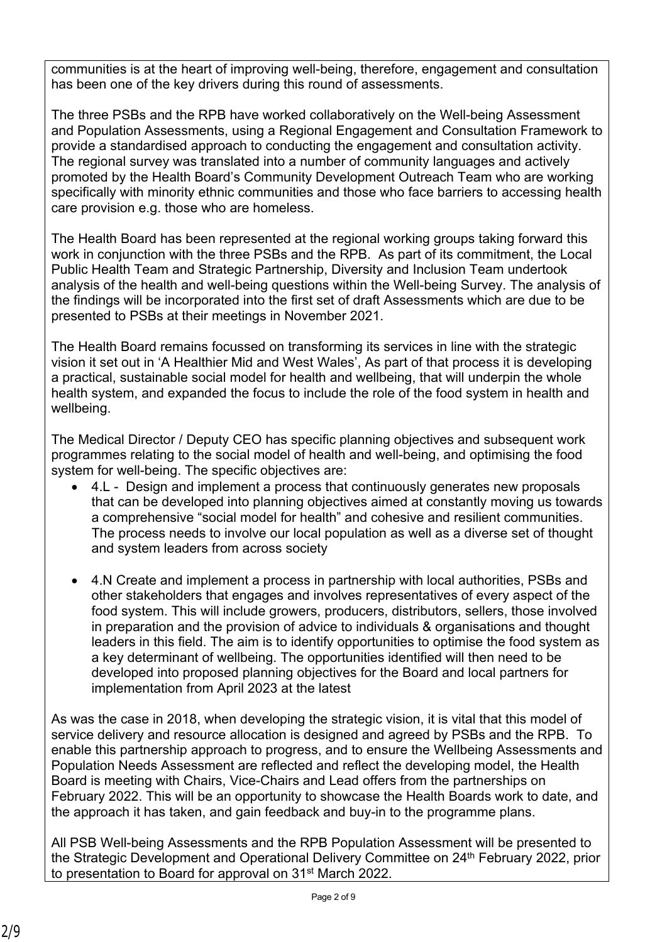communities is at the heart of improving well-being, therefore, engagement and consultation has been one of the key drivers during this round of assessments.

The three PSBs and the RPB have worked collaboratively on the Well-being Assessment and Population Assessments, using a Regional Engagement and Consultation Framework to provide a standardised approach to conducting the engagement and consultation activity. The regional survey was translated into a number of community languages and actively promoted by the Health Board's Community Development Outreach Team who are working specifically with minority ethnic communities and those who face barriers to accessing health care provision e.g. those who are homeless.

The Health Board has been represented at the regional working groups taking forward this work in conjunction with the three PSBs and the RPB. As part of its commitment, the Local Public Health Team and Strategic Partnership, Diversity and Inclusion Team undertook analysis of the health and well-being questions within the Well-being Survey. The analysis of the findings will be incorporated into the first set of draft Assessments which are due to be presented to PSBs at their meetings in November 2021.

The Health Board remains focussed on transforming its services in line with the strategic vision it set out in 'A Healthier Mid and West Wales', As part of that process it is developing a practical, sustainable social model for health and wellbeing, that will underpin the whole health system, and expanded the focus to include the role of the food system in health and wellbeing.

The Medical Director / Deputy CEO has specific planning objectives and subsequent work programmes relating to the social model of health and well-being, and optimising the food system for well-being. The specific objectives are:

- 4.L Design and implement a process that continuously generates new proposals that can be developed into planning objectives aimed at constantly moving us towards a comprehensive "social model for health" and cohesive and resilient communities. The process needs to involve our local population as well as a diverse set of thought and system leaders from across society
- 4.N Create and implement a process in partnership with local authorities, PSBs and other stakeholders that engages and involves representatives of every aspect of the food system. This will include growers, producers, distributors, sellers, those involved in preparation and the provision of advice to individuals & organisations and thought leaders in this field. The aim is to identify opportunities to optimise the food system as a key determinant of wellbeing. The opportunities identified will then need to be developed into proposed planning objectives for the Board and local partners for implementation from April 2023 at the latest

As was the case in 2018, when developing the strategic vision, it is vital that this model of service delivery and resource allocation is designed and agreed by PSBs and the RPB. To enable this partnership approach to progress, and to ensure the Wellbeing Assessments and Population Needs Assessment are reflected and reflect the developing model, the Health Board is meeting with Chairs, Vice-Chairs and Lead offers from the partnerships on February 2022. This will be an opportunity to showcase the Health Boards work to date, and the approach it has taken, and gain feedback and buy-in to the programme plans.

All PSB Well-being Assessments and the RPB Population Assessment will be presented to the Strategic Development and Operational Delivery Committee on 24<sup>th</sup> February 2022, prior to presentation to Board for approval on 31<sup>st</sup> March 2022.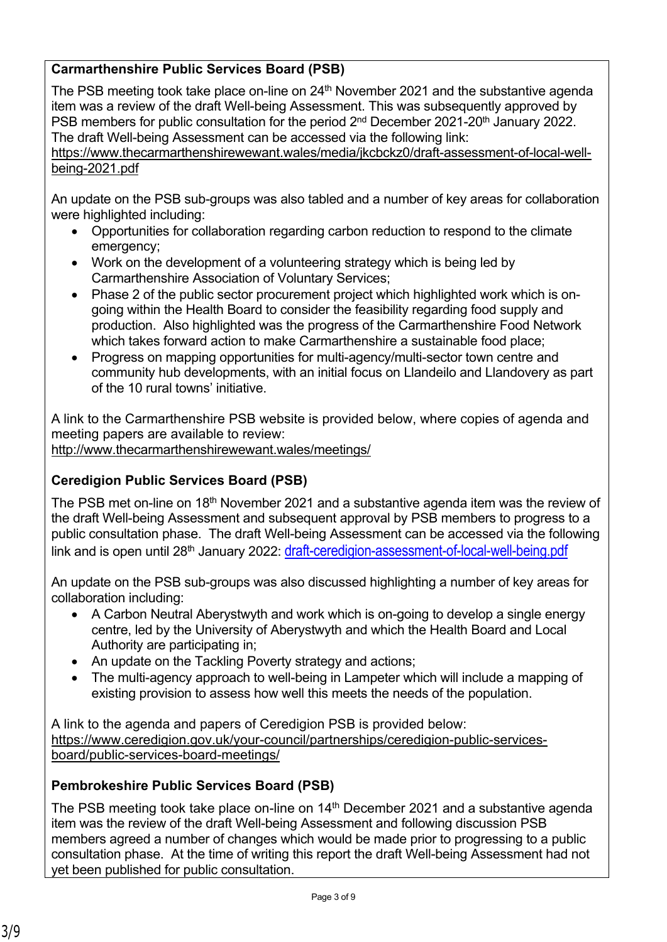# **Carmarthenshire Public Services Board (PSB)**

The PSB meeting took take place on-line on  $24<sup>th</sup>$  November 2021 and the substantive agenda item was a review of the draft Well-being Assessment. This was subsequently approved by PSB members for public consultation for the period 2<sup>nd</sup> December 2021-20<sup>th</sup> January 2022. The draft Well-being Assessment can be accessed via the following link:

[https://www.thecarmarthenshirewewant.wales/media/jkcbckz0/draft-assessment-of-local-well](https://www.thecarmarthenshirewewant.wales/media/jkcbckz0/draft-assessment-of-local-well-being-2021.pdf)[being-2021.pdf](https://www.thecarmarthenshirewewant.wales/media/jkcbckz0/draft-assessment-of-local-well-being-2021.pdf)

An update on the PSB sub-groups was also tabled and a number of key areas for collaboration were highlighted including:

- Opportunities for collaboration regarding carbon reduction to respond to the climate emergency;
- Work on the development of a volunteering strategy which is being led by Carmarthenshire Association of Voluntary Services;
- Phase 2 of the public sector procurement project which highlighted work which is ongoing within the Health Board to consider the feasibility regarding food supply and production. Also highlighted was the progress of the Carmarthenshire Food Network which takes forward action to make Carmarthenshire a sustainable food place;
- Progress on mapping opportunities for multi-agency/multi-sector town centre and community hub developments, with an initial focus on Llandeilo and Llandovery as part of the 10 rural towns' initiative.

A link to the Carmarthenshire PSB website is provided below, where copies of agenda and meeting papers are available to review: <http://www.thecarmarthenshirewewant.wales/meetings/>

## **Ceredigion Public Services Board (PSB)**

The PSB met on-line on 18<sup>th</sup> November 2021 and a substantive agenda item was the review of the draft Well-being Assessment and subsequent approval by PSB members to progress to a public consultation phase. The draft Well-being Assessment can be accessed via the following link and is open until 28<sup>th</sup> January 2022: [draft-ceredigion-assessment-of-local-well-being.pdf](https://www.ceredigion.gov.uk/media/10312/draft-ceredigion-assessment-of-local-well-being.pdf)

An update on the PSB sub-groups was also discussed highlighting a number of key areas for collaboration including:

- A Carbon Neutral Aberystwyth and work which is on-going to develop a single energy centre, led by the University of Aberystwyth and which the Health Board and Local Authority are participating in;
- An update on the Tackling Poverty strategy and actions;
- The multi-agency approach to well-being in Lampeter which will include a mapping of existing provision to assess how well this meets the needs of the population.

A link to the agenda and papers of Ceredigion PSB is provided below: [https://www.ceredigion.gov.uk/your-council/partnerships/ceredigion-public-services](https://www.ceredigion.gov.uk/your-council/partnerships/ceredigion-public-services-board/public-services-board-meetings/)[board/public-services-board-meetings/](https://www.ceredigion.gov.uk/your-council/partnerships/ceredigion-public-services-board/public-services-board-meetings/)

## **Pembrokeshire Public Services Board (PSB)**

The PSB meeting took take place on-line on 14<sup>th</sup> December 2021 and a substantive agenda item was the review of the draft Well-being Assessment and following discussion PSB members agreed a number of changes which would be made prior to progressing to a public consultation phase. At the time of writing this report the draft Well-being Assessment had not yet been published for public consultation.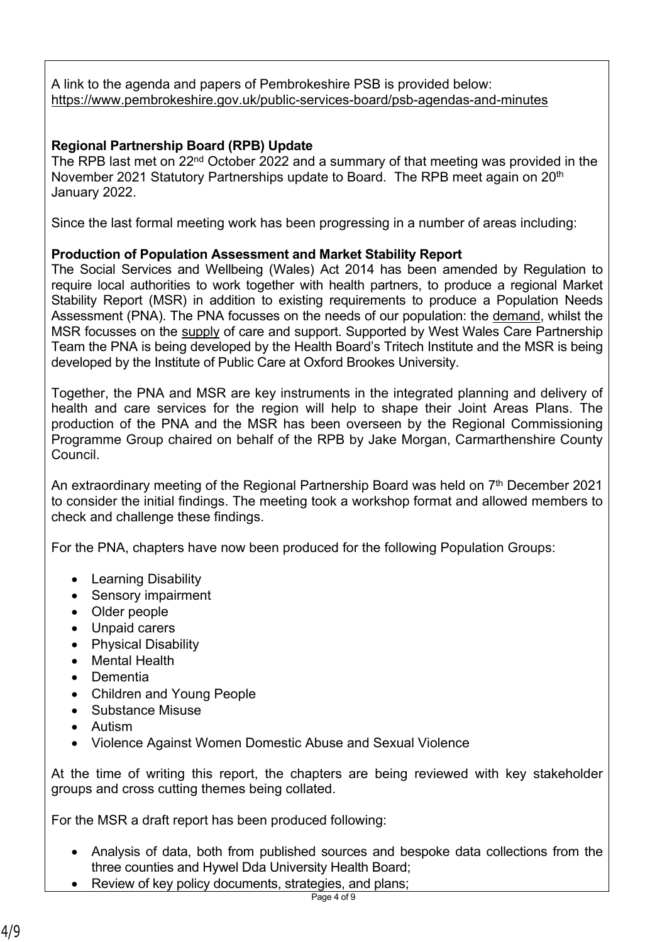A link to the agenda and papers of Pembrokeshire PSB is provided below: <https://www.pembrokeshire.gov.uk/public-services-board/psb-agendas-and-minutes>

## **Regional Partnership Board (RPB) Update**

The RPB last met on 22<sup>nd</sup> October 2022 and a summary of that meeting was provided in the November 2021 Statutory Partnerships update to Board. The RPB meet again on 20<sup>th</sup> January 2022.

Since the last formal meeting work has been progressing in a number of areas including:

## **Production of Population Assessment and Market Stability Report**

The Social Services and Wellbeing (Wales) Act 2014 has been amended by Regulation to require local authorities to work together with health partners, to produce a regional Market Stability Report (MSR) in addition to existing requirements to produce a Population Needs Assessment (PNA). The PNA focusses on the needs of our population: the demand, whilst the MSR focusses on the supply of care and support. Supported by West Wales Care Partnership Team the PNA is being developed by the Health Board's Tritech Institute and the MSR is being developed by the Institute of Public Care at Oxford Brookes University.

Together, the PNA and MSR are key instruments in the integrated planning and delivery of health and care services for the region will help to shape their Joint Areas Plans. The production of the PNA and the MSR has been overseen by the Regional Commissioning Programme Group chaired on behalf of the RPB by Jake Morgan, Carmarthenshire County Council.

An extraordinary meeting of the Regional Partnership Board was held on  $7<sup>th</sup>$  December 2021 to consider the initial findings. The meeting took a workshop format and allowed members to check and challenge these findings.

For the PNA, chapters have now been produced for the following Population Groups:

- Learning Disability
- Sensory impairment
- Older people
- Unpaid carers
- Physical Disability
- Mental Health
- Dementia
- Children and Young People
- Substance Misuse
- **•** Autism
- Violence Against Women Domestic Abuse and Sexual Violence

At the time of writing this report, the chapters are being reviewed with key stakeholder groups and cross cutting themes being collated.

For the MSR a draft report has been produced following:

- Analysis of data, both from published sources and bespoke data collections from the three counties and Hywel Dda University Health Board;
- Review of key policy documents, strategies, and plans;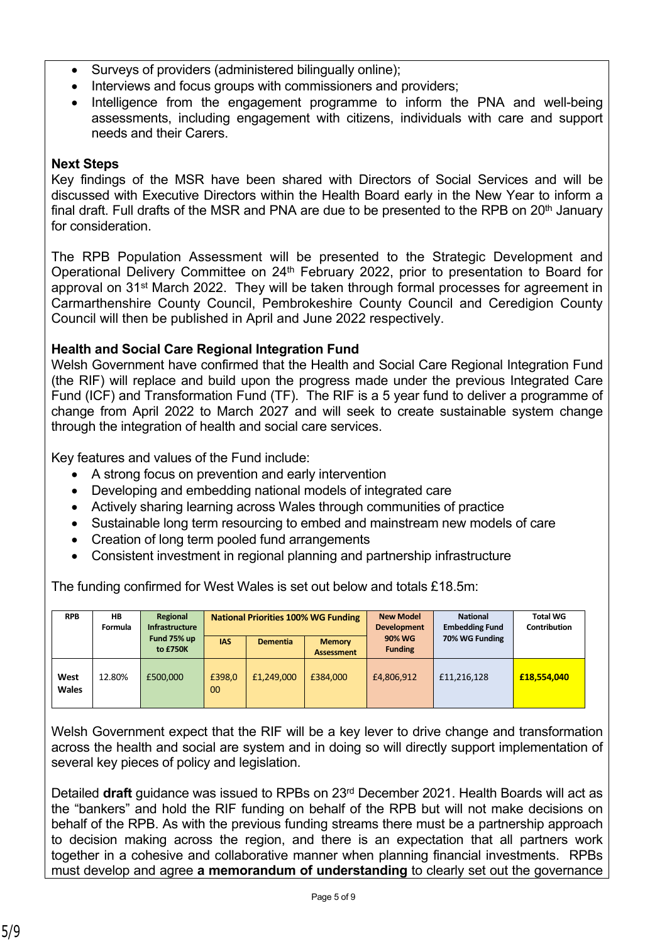- Surveys of providers (administered bilingually online);
- Interviews and focus groups with commissioners and providers;
- Intelligence from the engagement programme to inform the PNA and well-being assessments, including engagement with citizens, individuals with care and support needs and their Carers.

#### **Next Steps**

Key findings of the MSR have been shared with Directors of Social Services and will be discussed with Executive Directors within the Health Board early in the New Year to inform a final draft. Full drafts of the MSR and PNA are due to be presented to the RPB on 20<sup>th</sup> January for consideration.

The RPB Population Assessment will be presented to the Strategic Development and Operational Delivery Committee on 24th February 2022, prior to presentation to Board for approval on 31<sup>st</sup> March 2022. They will be taken through formal processes for agreement in Carmarthenshire County Council, Pembrokeshire County Council and Ceredigion County Council will then be published in April and June 2022 respectively.

## **Health and Social Care Regional Integration Fund**

Welsh Government have confirmed that the Health and Social Care Regional Integration Fund (the RIF) will replace and build upon the progress made under the previous Integrated Care Fund (ICF) and Transformation Fund (TF). The RIF is a 5 year fund to deliver a programme of change from April 2022 to March 2027 and will seek to create sustainable system change through the integration of health and social care services.

Key features and values of the Fund include:

- A strong focus on prevention and early intervention
- Developing and embedding national models of integrated care
- Actively sharing learning across Wales through communities of practice
- Sustainable long term resourcing to embed and mainstream new models of care
- Creation of long term pooled fund arrangements
- Consistent investment in regional planning and partnership infrastructure

The funding confirmed for West Wales is set out below and totals £18.5m:

| <b>RPB</b>           | НB<br>Formula | Regional<br><b>Infrastructure</b> | <b>National Priorities 100% WG Funding</b> |                 | <b>New Model</b><br><b>Development</b> | <b>National</b><br><b>Embedding Fund</b> | <b>Total WG</b><br><b>Contribution</b> |             |
|----------------------|---------------|-----------------------------------|--------------------------------------------|-----------------|----------------------------------------|------------------------------------------|----------------------------------------|-------------|
|                      |               | Fund 75% up<br>to £750K           | <b>IAS</b>                                 | <b>Dementia</b> | <b>Memory</b><br><b>Assessment</b>     | <b>90% WG</b><br><b>Funding</b>          | 70% WG Funding                         |             |
| West<br><b>Wales</b> | 12.80%        | £500,000                          | £398,0<br>00                               | £1.249.000      | £384,000                               | £4,806,912                               | £11,216,128                            | £18,554,040 |

Welsh Government expect that the RIF will be a key lever to drive change and transformation across the health and social are system and in doing so will directly support implementation of several key pieces of policy and legislation.

Detailed **draft** guidance was issued to RPBs on 23rd December 2021. Health Boards will act as the "bankers" and hold the RIF funding on behalf of the RPB but will not make decisions on behalf of the RPB. As with the previous funding streams there must be a partnership approach to decision making across the region, and there is an expectation that all partners work together in a cohesive and collaborative manner when planning financial investments. RPBs must develop and agree **a memorandum of understanding** to clearly set out the governance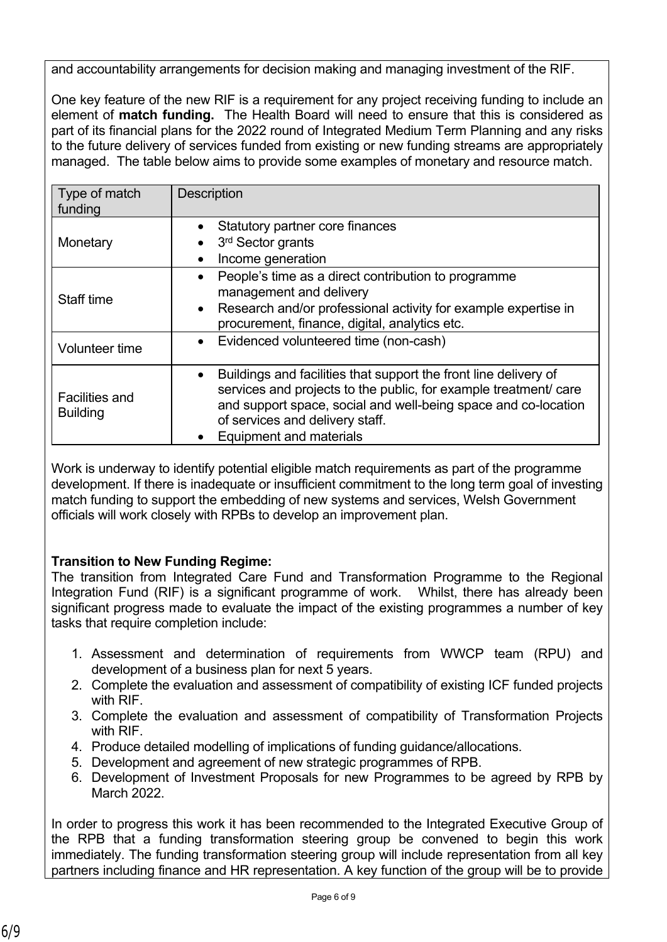and accountability arrangements for decision making and managing investment of the RIF.

One key feature of the new RIF is a requirement for any project receiving funding to include an element of **match funding.** The Health Board will need to ensure that this is considered as part of its financial plans for the 2022 round of Integrated Medium Term Planning and any risks to the future delivery of services funded from existing or new funding streams are appropriately managed. The table below aims to provide some examples of monetary and resource match.

| Type of match<br>funding                 | <b>Description</b>                                                                                                                                                                                                                                                                       |
|------------------------------------------|------------------------------------------------------------------------------------------------------------------------------------------------------------------------------------------------------------------------------------------------------------------------------------------|
| Monetary                                 | Statutory partner core finances<br>3rd Sector grants<br>Income generation<br>$\bullet$                                                                                                                                                                                                   |
| Staff time                               | People's time as a direct contribution to programme<br>$\bullet$<br>management and delivery<br>Research and/or professional activity for example expertise in<br>$\bullet$<br>procurement, finance, digital, analytics etc.                                                              |
| Volunteer time                           | Evidenced volunteered time (non-cash)<br>$\bullet$                                                                                                                                                                                                                                       |
| <b>Facilities and</b><br><b>Building</b> | Buildings and facilities that support the front line delivery of<br>$\bullet$<br>services and projects to the public, for example treatment/ care<br>and support space, social and well-being space and co-location<br>of services and delivery staff.<br><b>Equipment and materials</b> |

Work is underway to identify potential eligible match requirements as part of the programme development. If there is inadequate or insufficient commitment to the long term goal of investing match funding to support the embedding of new systems and services, Welsh Government officials will work closely with RPBs to develop an improvement plan.

# **Transition to New Funding Regime:**

The transition from Integrated Care Fund and Transformation Programme to the Regional Integration Fund (RIF) is a significant programme of work. Whilst, there has already been significant progress made to evaluate the impact of the existing programmes a number of key tasks that require completion include:

- 1. Assessment and determination of requirements from WWCP team (RPU) and development of a business plan for next 5 years.
- 2. Complete the evaluation and assessment of compatibility of existing ICF funded projects with RIF.
- 3. Complete the evaluation and assessment of compatibility of Transformation Projects with RIF
- 4. Produce detailed modelling of implications of funding guidance/allocations.
- 5. Development and agreement of new strategic programmes of RPB.
- 6. Development of Investment Proposals for new Programmes to be agreed by RPB by March 2022.

In order to progress this work it has been recommended to the Integrated Executive Group of the RPB that a funding transformation steering group be convened to begin this work immediately. The funding transformation steering group will include representation from all key partners including finance and HR representation. A key function of the group will be to provide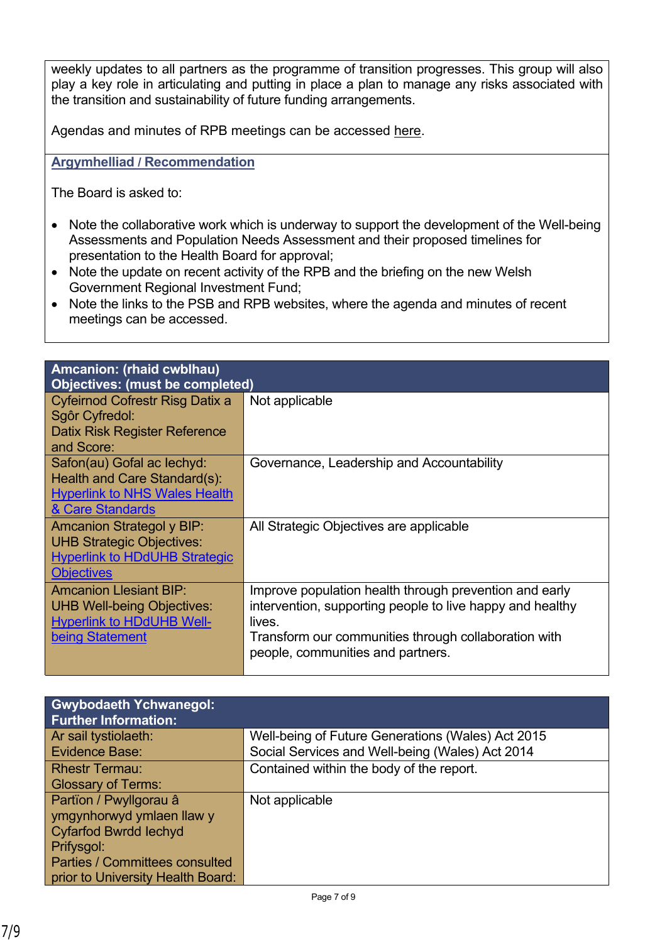weekly updates to all partners as the programme of transition progresses. This group will also play a key role in articulating and putting in place a plan to manage any risks associated with the transition and sustainability of future funding arrangements.

Agendas and minutes of RPB meetings can be accessed [here.](https://www.wwcp.org.uk/west-wales-regional-partnership-board-agendas-and-minutes/)

**Argymhelliad / Recommendation**

The Board is asked to:

- Note the collaborative work which is underway to support the development of the Well-being Assessments and Population Needs Assessment and their proposed timelines for presentation to the Health Board for approval;
- Note the update on recent activity of the RPB and the briefing on the new Welsh Government Regional Investment Fund;
- Note the links to the PSB and RPB websites, where the agenda and minutes of recent meetings can be accessed.

| Amcanion: (rhaid cwblhau)<br><b>Objectives: (must be completed)</b>                                                               |                                                                                                                                                                                                                            |  |
|-----------------------------------------------------------------------------------------------------------------------------------|----------------------------------------------------------------------------------------------------------------------------------------------------------------------------------------------------------------------------|--|
| Cyfeirnod Cofrestr Risg Datix a<br>Sgôr Cyfredol:<br>Datix Risk Register Reference<br>and Score:                                  | Not applicable                                                                                                                                                                                                             |  |
| Safon(au) Gofal ac lechyd:<br>Health and Care Standard(s):<br><b>Hyperlink to NHS Wales Health</b><br><b>&amp; Care Standards</b> | Governance, Leadership and Accountability                                                                                                                                                                                  |  |
| <b>Amcanion Strategol y BIP:</b><br><b>UHB Strategic Objectives:</b><br><b>Hyperlink to HDdUHB Strategic</b><br><b>Objectives</b> | All Strategic Objectives are applicable                                                                                                                                                                                    |  |
| <b>Amcanion Llesiant BIP:</b><br><b>UHB Well-being Objectives:</b><br><b>Hyperlink to HDdUHB Well-</b><br>being Statement         | Improve population health through prevention and early<br>intervention, supporting people to live happy and healthy<br>lives.<br>Transform our communities through collaboration with<br>people, communities and partners. |  |

| <b>Gwybodaeth Ychwanegol:</b><br><b>Further Information:</b> |                                                   |
|--------------------------------------------------------------|---------------------------------------------------|
| Ar sail tystiolaeth:                                         | Well-being of Future Generations (Wales) Act 2015 |
| <b>Evidence Base:</b>                                        | Social Services and Well-being (Wales) Act 2014   |
| <b>Rhestr Termau:</b>                                        | Contained within the body of the report.          |
| <b>Glossary of Terms:</b>                                    |                                                   |
| Partïon / Pwyllgorau â                                       | Not applicable                                    |
| ymgynhorwyd ymlaen llaw y                                    |                                                   |
| <b>Cyfarfod Bwrdd lechyd</b>                                 |                                                   |
| Prifysgol:                                                   |                                                   |
| <b>Parties / Committees consulted</b>                        |                                                   |
| prior to University Health Board:                            |                                                   |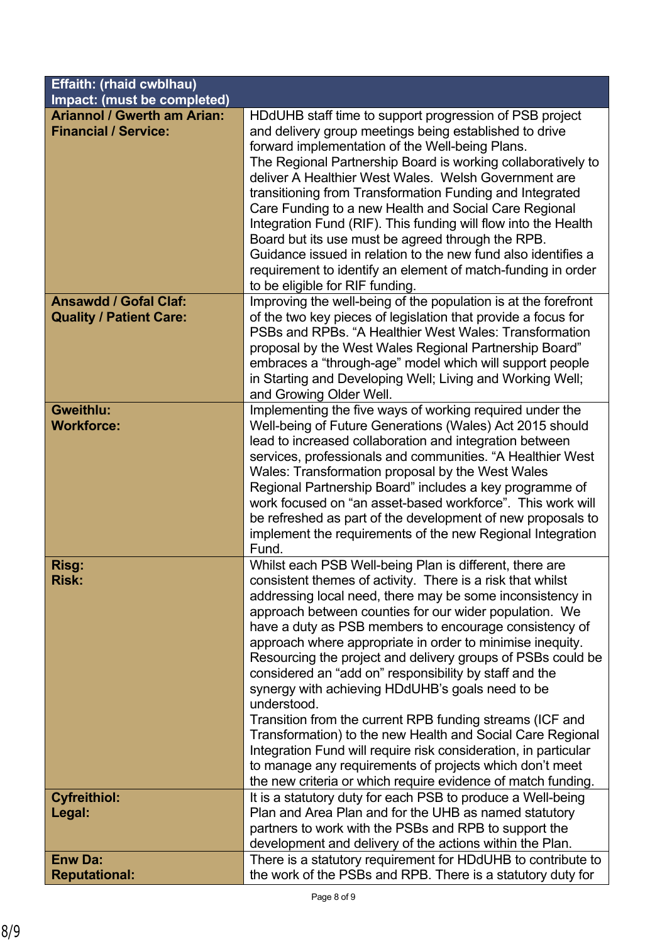| <b>Effaith: (rhaid cwblhau)</b>                                   |                                                                                                                                                                                                                                                                                                                                                                                                                                                                                                                                                                                                                                                                                                                                                                                                                                                                                         |  |
|-------------------------------------------------------------------|-----------------------------------------------------------------------------------------------------------------------------------------------------------------------------------------------------------------------------------------------------------------------------------------------------------------------------------------------------------------------------------------------------------------------------------------------------------------------------------------------------------------------------------------------------------------------------------------------------------------------------------------------------------------------------------------------------------------------------------------------------------------------------------------------------------------------------------------------------------------------------------------|--|
| Impact: (must be completed)                                       |                                                                                                                                                                                                                                                                                                                                                                                                                                                                                                                                                                                                                                                                                                                                                                                                                                                                                         |  |
| <b>Ariannol / Gwerth am Arian:</b><br><b>Financial / Service:</b> | HDdUHB staff time to support progression of PSB project<br>and delivery group meetings being established to drive<br>forward implementation of the Well-being Plans.<br>The Regional Partnership Board is working collaboratively to<br>deliver A Healthier West Wales. Welsh Government are<br>transitioning from Transformation Funding and Integrated<br>Care Funding to a new Health and Social Care Regional<br>Integration Fund (RIF). This funding will flow into the Health<br>Board but its use must be agreed through the RPB.<br>Guidance issued in relation to the new fund also identifies a<br>requirement to identify an element of match-funding in order<br>to be eligible for RIF funding.                                                                                                                                                                            |  |
| <b>Ansawdd / Gofal Claf:</b><br><b>Quality / Patient Care:</b>    | Improving the well-being of the population is at the forefront<br>of the two key pieces of legislation that provide a focus for<br>PSBs and RPBs. "A Healthier West Wales: Transformation<br>proposal by the West Wales Regional Partnership Board"<br>embraces a "through-age" model which will support people<br>in Starting and Developing Well; Living and Working Well;<br>and Growing Older Well.                                                                                                                                                                                                                                                                                                                                                                                                                                                                                 |  |
| <b>Gweithlu:</b><br><b>Workforce:</b>                             | Implementing the five ways of working required under the<br>Well-being of Future Generations (Wales) Act 2015 should<br>lead to increased collaboration and integration between<br>services, professionals and communities. "A Healthier West<br>Wales: Transformation proposal by the West Wales<br>Regional Partnership Board" includes a key programme of<br>work focused on "an asset-based workforce". This work will<br>be refreshed as part of the development of new proposals to<br>implement the requirements of the new Regional Integration<br>Fund.                                                                                                                                                                                                                                                                                                                        |  |
| Risg:<br><b>Risk:</b>                                             | Whilst each PSB Well-being Plan is different, there are<br>consistent themes of activity. There is a risk that whilst<br>addressing local need, there may be some inconsistency in<br>approach between counties for our wider population. We<br>have a duty as PSB members to encourage consistency of<br>approach where appropriate in order to minimise inequity.<br>Resourcing the project and delivery groups of PSBs could be<br>considered an "add on" responsibility by staff and the<br>synergy with achieving HDdUHB's goals need to be<br>understood.<br>Transition from the current RPB funding streams (ICF and<br>Transformation) to the new Health and Social Care Regional<br>Integration Fund will require risk consideration, in particular<br>to manage any requirements of projects which don't meet<br>the new criteria or which require evidence of match funding. |  |
| <b>Cyfreithiol:</b><br>Legal:                                     | It is a statutory duty for each PSB to produce a Well-being<br>Plan and Area Plan and for the UHB as named statutory<br>partners to work with the PSBs and RPB to support the<br>development and delivery of the actions within the Plan.                                                                                                                                                                                                                                                                                                                                                                                                                                                                                                                                                                                                                                               |  |
| <b>Enw Da:</b>                                                    | There is a statutory requirement for HDdUHB to contribute to                                                                                                                                                                                                                                                                                                                                                                                                                                                                                                                                                                                                                                                                                                                                                                                                                            |  |
| <b>Reputational:</b>                                              | the work of the PSBs and RPB. There is a statutory duty for                                                                                                                                                                                                                                                                                                                                                                                                                                                                                                                                                                                                                                                                                                                                                                                                                             |  |